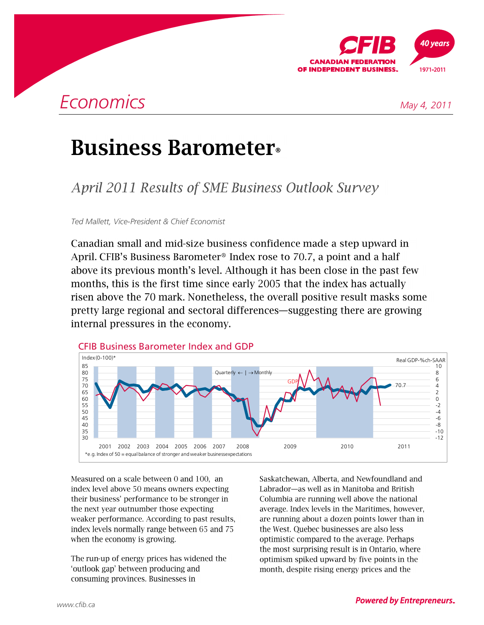

# **Business Barometer**.

**April 2011 Results of SME Business Outlook Survey** 

*Ted Mallett, Vice-President & Chief Economist* 

Canadian small and mid-size business confidence made a step upward in April. CFIB's Business Barometer<sup>®</sup> Index rose to 70.7, a point and a half above its previous month's level. Although it has been close in the past few months, this is the first time since early 2005 that the index has actually risen above the 70 mark. Nonetheless, the overall positive result masks some pretty large regional and sectoral differences—suggesting there are growing internal pressures in the economy.



Measured on a scale between 0 and 100, an index level above 50 means owners expecting their business' performance to be stronger in the next year outnumber those expecting weaker performance. According to past results, index levels normally range between 65 and 75 when the economy is growing.

The run-up of energy prices has widened the 'outlook gap' between producing and consuming provinces. Businesses in

Saskatchewan, Alberta, and Newfoundland and Labrador-as well as in Manitoba and British Columbia are running well above the national average. Index levels in the Maritimes, however, are running about a dozen points lower than in the West. Quebec businesses are also less optimistic compared to the average. Perhaps the most surprising result is in Ontario, where optimism spiked upward by five points in the month, despite rising energy prices and the

### **Powered by Entrepreneurs.**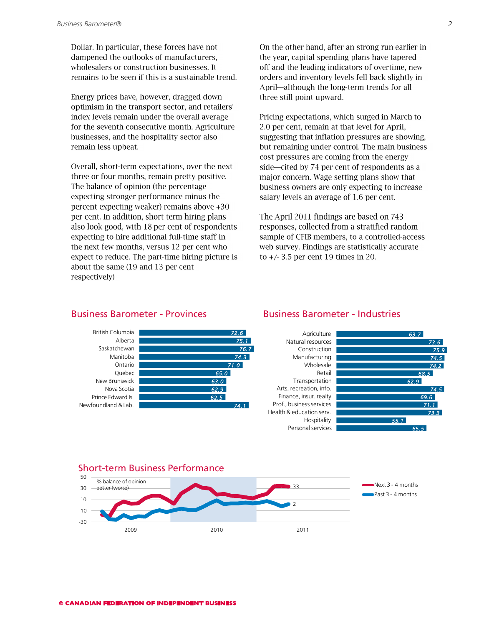Dollar. In particular, these forces have not dampened the outlooks of manufacturers, wholesalers or construction businesses. It remains to be seen if this is a sustainable trend.

Energy prices have, however, dragged down optimism in the transport sector, and retailers' index levels remain under the overall average for the seventh consecutive month. Agriculture businesses, and the hospitality sector also remain less upbeat.

Overall, short-term expectations, over the next three or four months, remain pretty positive. The balance of opinion (the percentage expecting stronger performance minus the percent expecting weaker) remains above +30 per cent. In addition, short term hiring plans also look good, with 18 per cent of respondents expecting to hire additional full-time staff in the next few months, versus 12 per cent who expect to reduce. The part-time hiring picture is about the same (19 and 13 per cent respectively)

On the other hand, after an strong run earlier in the year, capital spending plans have tapered off and the leading indicators of overtime, new orders and inventory levels fell back slightly in April—although the long-term trends for all three still point upward.

Pricing expectations, which surged in March to 2.0 per cent, remain at that level for April, suggesting that inflation pressures are showing, but remaining under control. The main business cost pressures are coming from the energy side-cited by 74 per cent of respondents as a major concern. Wage setting plans show that business owners are only expecting to increase salary levels an average of 1.6 per cent.

The April 2011 findings are based on 743 responses, collected from a stratified random sample of CFIB members, to a controlled-access web survey. Findings are statistically accurate to  $+/- 3.5$  per cent 19 times in 20.

Business Barometer - Industries



### Business Barometer - Provinces